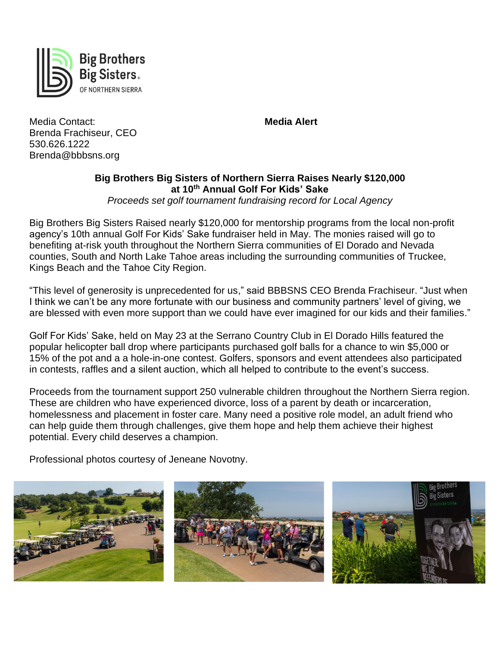

Media Contact: **Media Alert** Brenda Frachiseur, CEO 530.626.1222 Brenda@bbbsns.org

## **Big Brothers Big Sisters of Northern Sierra Raises Nearly \$120,000 at 10th Annual Golf For Kids' Sake**

*Proceeds set golf tournament fundraising record for Local Agency*

Big Brothers Big Sisters Raised nearly \$120,000 for mentorship programs from the local non-profit agency's 10th annual Golf For Kids' Sake fundraiser held in May. The monies raised will go to benefiting at-risk youth throughout the Northern Sierra communities of El Dorado and Nevada counties, South and North Lake Tahoe areas including the surrounding communities of Truckee, Kings Beach and the Tahoe City Region.

"This level of generosity is unprecedented for us," said BBBSNS CEO Brenda Frachiseur. "Just when I think we can't be any more fortunate with our business and community partners' level of giving, we are blessed with even more support than we could have ever imagined for our kids and their families."

Golf For Kids' Sake, held on May 23 at the Serrano Country Club in El Dorado Hills featured the popular helicopter ball drop where participants purchased golf balls for a chance to win \$5,000 or 15% of the pot and a a hole-in-one contest. Golfers, sponsors and event attendees also participated in contests, raffles and a silent auction, which all helped to contribute to the event's success.

Proceeds from the tournament support 250 vulnerable children throughout the Northern Sierra region. These are children who have experienced divorce, loss of a parent by death or incarceration, homelessness and placement in foster care. Many need a positive role model, an adult friend who can help guide them through challenges, give them hope and help them achieve their highest potential. Every child deserves a champion.

Professional photos courtesy of Jeneane Novotny.